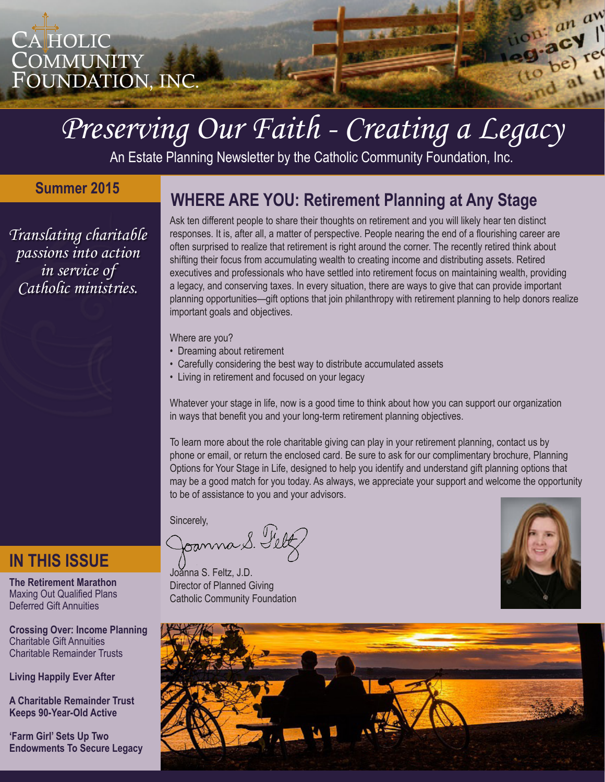

# *Preserving Our Faith - Creating a Legacy*

An Estate Planning Newsletter by the Catholic Community Foundation, Inc.

#### **Summer 2015**

*Translating charitable passions into action in service of Catholic ministries.*

### **WHERE ARE YOU: Retirement Planning at Any Stage**

Ask ten different people to share their thoughts on retirement and you will likely hear ten distinct responses. It is, after all, a matter of perspective. People nearing the end of a flourishing career are often surprised to realize that retirement is right around the corner. The recently retired think about shifting their focus from accumulating wealth to creating income and distributing assets. Retired executives and professionals who have settled into retirement focus on maintaining wealth, providing a legacy, and conserving taxes. In every situation, there are ways to give that can provide important planning opportunities—gift options that join philanthropy with retirement planning to help donors realize important goals and objectives.

Where are you?

- Dreaming about retirement
- Carefully considering the best way to distribute accumulated assets
- Living in retirement and focused on your legacy

Whatever your stage in life, now is a good time to think about how you can support our organization in ways that benefit you and your long-term retirement planning objectives.

To learn more about the role charitable giving can play in your retirement planning, contact us by phone or email, or return the enclosed card. Be sure to ask for our complimentary brochure, Planning Options for Your Stage in Life, designed to help you identify and understand gift planning options that may be a good match for you today. As always, we appreciate your support and welcome the opportunity to be of assistance to you and your advisors.

Sincerely,<br>Joanna S. Feltz

Joanna S. Feltz, J.D. Director of Planned Giving Catholic Community Foundation



loui an aw lon: an an

eg. acy red

(to be) il

id<sub>25</sub>



### **IN THIS ISSUE**

**The Retirement Marathon**  Maxing Out Qualified Plans Deferred Gift Annuities

**Crossing Over: Income Planning** Charitable Gift Annuities Charitable Remainder Trusts

**Living Happily Ever After** 

**A Charitable Remainder Trust Keeps 90-Year-Old Active**

**'Farm Girl' Sets Up Two Endowments To Secure Legacy**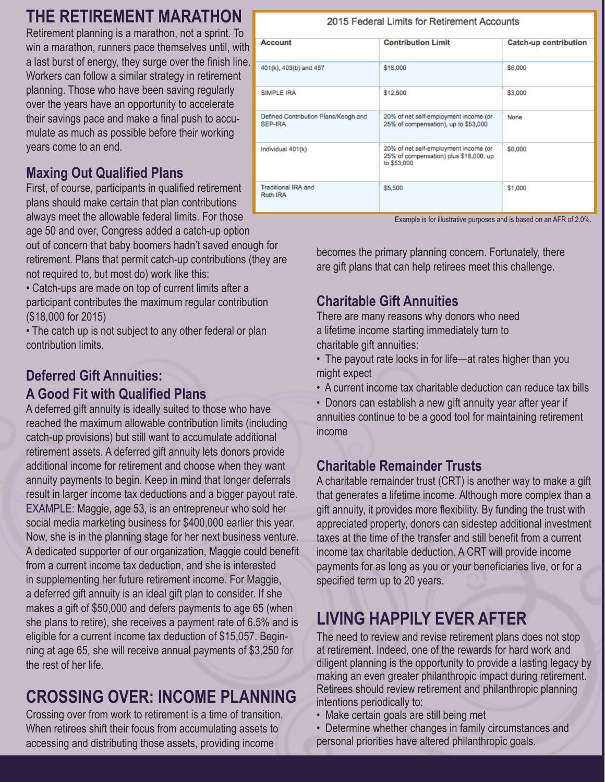### **THE RETIREMENT MARATHON**

Retirement planning is a marathon, not a sprint. To win a marathon, runners pace themselves until, with a last burst of energy, they surge over the finish line. Workers can follow a similar strategy in retirement planning. Those who have been saving regularly over the years have an opportunity to accelerate their savings pace and make a final push to accumulate as much as possible before their working years come to an end.

### **Maxing Out Qualified Plans**

First, of course, participants in qualified retirement plans should make certain that plan contributions always meet the allowable federal limits. For those age 50 and over, Congress added a catch-up option out of concern that baby boomers hadn't saved enough for

retirement. Plans that permit catch-up contributions (they are not required to, but most do) work like this:

• Catch-ups are made on top of current limits after a participant contributes the maximum regular contribution (\$18,000 for 2015)

• The catch up is not subject to any other federal or plan contribution limits.

### **Deferred Gift Annuities: A Good Fit with Qualified Plans**

A deferred gift annuity is ideally suited to those who have reached the maximum allowable contribution limits (including catch-up provisions) but still want to accumulate additional retirement assets. A deferred gift annuity lets donors provide additional income for retirement and choose when they want annuity payments to begin. Keep in mind that longer deferrals result in larger income tax deductions and a bigger payout rate. EXAMPLE: Maggie, age 53, is an entrepreneur who sold her social media marketing business for \$400,000 earlier this year. Now, she is in the planning stage for her next business venture. A dedicated supporter of our organization, Maggie could benefit from a current income tax deduction, and she is interested in supplementing her future retirement income. For Maggie, a deferred gift annuity is an ideal gift plan to consider. If she makes a gift of \$50,000 and defers payments to age 65 (when she plans to retire), she receives a payment rate of 6.5% and is eligible for a current income tax deduction of \$15,057. Beginning at age 65, she will receive annual payments of \$3,250 for the rest of her life.

# **CROSSING OVER: INCOME PLANNING**

Crossing over from work to retirement is a time of transition. When retirees shift their focus from accumulating assets to accessing and distributing those assets, providing income

#### 2015 Federal Limits for Retirement Accounts

| Account                                         | <b>Contribution Limit</b>                                                                      | <b>Catch-up contribution</b> |  |
|-------------------------------------------------|------------------------------------------------------------------------------------------------|------------------------------|--|
| 401(k), 403(b) and 457                          | \$18,000                                                                                       | \$6,000                      |  |
| <b>SIMPLE IRA</b>                               | \$12,500                                                                                       | \$3,000                      |  |
| Defined Contribution Plans/Keogh and<br>SEP-IRA | 20% of net self-employment income (or<br>25% of compensation), up to \$53,000                  | None                         |  |
| Individual 401(k)                               | 20% of net self-employment income (or<br>25% of compensation) plus \$18,000, up<br>to \$53,000 | \$6,000                      |  |
| Traditional IRA and<br>Roth IRA                 | \$5,500                                                                                        | \$1,000                      |  |

Example is for illustrative purposes and is based on an AFR of 2.0%.

becomes the primary planning concern. Fortunately, there are gift plans that can help retirees meet this challenge.

### **Charitable Gift Annuities**

There are many reasons why donors who need a lifetime income starting immediately turn to charitable gift annuities:

• The payout rate locks in for life—at rates higher than you might expect

• A current income tax charitable deduction can reduce tax bills

• Donors can establish a new gift annuity year after year if annuities continue to be a good tool for maintaining retirement income

#### **Charitable Remainder Trusts**

A charitable remainder trust (CRT) is another way to make a gift that generates a lifetime income. Although more complex than a gift annuity, it provides more flexibility. By funding the trust with appreciated property, donors can sidestep additional investment taxes at the time of the transfer and still benefit from a current income tax charitable deduction. A CRT will provide income payments for as long as you or your beneficiaries live, or for a specified term up to 20 years.

# **LIVING HAPPILY EVER AFTER**

The need to review and revise retirement plans does not stop at retirement. Indeed, one of the rewards for hard work and diligent planning is the opportunity to provide a lasting legacy by making an even greater philanthropic impact during retirement. Retirees should review retirement and philanthropic planning intentions periodically to:

- Make certain goals are still being met
- Determine whether changes in family circumstances and personal priorities have altered philanthropic goals.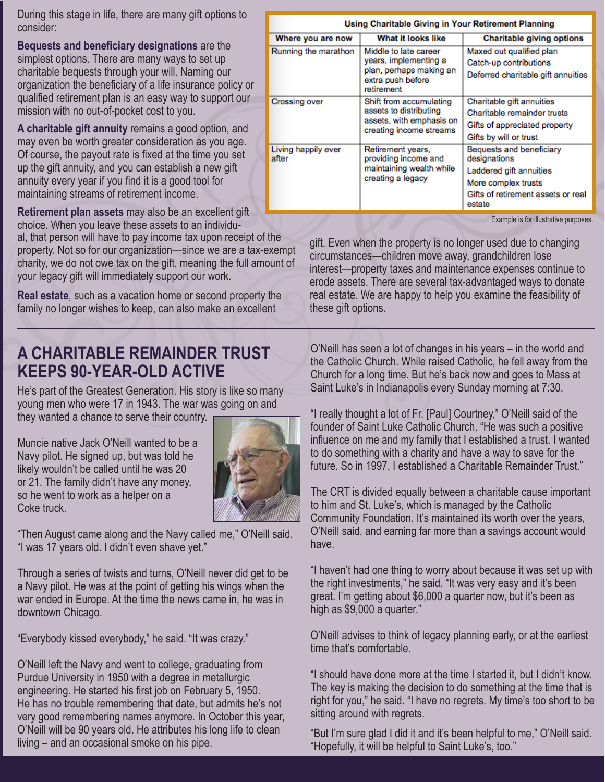During this stage in life, there are many gift options to consider:

**Bequests and beneficiary designations** are the simplest options. There are many ways to set up charitable bequests through your will. Naming our organization the beneficiary of a life insurance policy or qualified retirement plan is an easy way to support our mission with no out-of-pocket cost to you.

**A charitable gift annuity** remains a good option, and may even be worth greater consideration as you age. Of course, the payout rate is fixed at the time you set up the gift annuity, and you can establish a new gift annuity every year if you find it is a good tool for maintaining streams of retirement income.

**Retirement plan assets** may also be an excellent gift choice. When you leave these assets to an individual, that person will have to pay income tax upon receipt of the property. Not so for our organization—since we are a tax-exempt charity, we do not owe tax on the gift, meaning the full amount of your legacy gift will immediately support our work.

**Real estate**, such as a vacation home or second property the family no longer wishes to keep, can also make an excellent

### **A CHARITABLE REMAINDER TRUST KEEPS 90-YEAR-OLD ACTIVE**

He's part of the Greatest Generation. His story is like so many young men who were 17 in 1943. The war was going on and they wanted a chance to serve their country.

Muncie native Jack O'Neill wanted to be a Navy pilot. He signed up, but was told he likely wouldn't be called until he was 20 or 21. The family didn't have any money, so he went to work as a helper on a Coke truck.



"Then August came along and the Navy called me," O'Neill said. "I was 17 years old. I didn't even shave yet."

Through a series of twists and turns, O'Neill never did get to be a Navy pilot. He was at the point of getting his wings when the war ended in Europe. At the time the news came in, he was in downtown Chicago.

"Everybody kissed everybody," he said. "It was crazy."

O'Neill left the Navy and went to college, graduating from Purdue University in 1950 with a degree in metallurgic engineering. He started his first job on February 5, 1950. He has no trouble remembering that date, but admits he's not very good remembering names anymore. In October this year, O'Neill will be 90 years old. He attributes his long life to clean living – and an occasional smoke on his pipe.

| Using Charitable Giving in Your Retirement Planning |                                                                                                              |                                                                                                                                            |  |
|-----------------------------------------------------|--------------------------------------------------------------------------------------------------------------|--------------------------------------------------------------------------------------------------------------------------------------------|--|
| Where you are now                                   | What it looks like                                                                                           | <b>Charitable giving options</b>                                                                                                           |  |
| Running the marathon                                | Middle to late career<br>years, implementing a<br>plan, perhaps making an<br>extra push before<br>retirement | Maxed out qualified plan<br>Catch-up contributions<br>Deferred charitable gift annuities                                                   |  |
| <b>Crossing over</b>                                | Shift from accumulating<br>assets to distributing<br>assets, with emphasis on<br>creating income streams     | Charitable gift annuities<br>Charitable remainder trusts<br>Gifts of appreciated property<br>Gifts by will or trust                        |  |
| Living happily ever<br>after                        | Retirement years,<br>providing income and<br>maintaining wealth while<br>creating a legacy                   | Bequests and beneficiary<br>designations<br>Laddered gift annuities<br>More complex trusts<br>Gifts of retirement assets or real<br>estate |  |

Example is for illustrative purposes.

gift. Even when the property is no longer used due to changing circumstances—children move away, grandchildren lose interest—property taxes and maintenance expenses continue to erode assets. There are several tax-advantaged ways to donate real estate. We are happy to help you examine the feasibility of these gift options.

O'Neill has seen a lot of changes in his years – in the world and the Catholic Church. While raised Catholic, he fell away from the Church for a long time. But he's back now and goes to Mass at Saint Luke's in Indianapolis every Sunday morning at 7:30.

"I really thought a lot of Fr. [Paul] Courtney," O'Neill said of the founder of Saint Luke Catholic Church. "He was such a positive influence on me and my family that I established a trust. I wanted to do something with a charity and have a way to save for the future. So in 1997, I established a Charitable Remainder Trust."

The CRT is divided equally between a charitable cause important to him and St. Luke's, which is managed by the Catholic Community Foundation. It's maintained its worth over the years, O'Neill said, and earning far more than a savings account would have.

"I haven't had one thing to worry about because it was set up with the right investments," he said. "It was very easy and it's been great. I'm getting about \$6,000 a quarter now, but it's been as high as \$9,000 a quarter."

O'Neill advises to think of legacy planning early, or at the earliest time that's comfortable.

"I should have done more at the time I started it, but I didn't know. The key is making the decision to do something at the time that is right for you," he said. "I have no regrets. My time's too short to be sitting around with regrets.

"But I'm sure glad I did it and it's been helpful to me," O'Neill said. "Hopefully, it will be helpful to Saint Luke's, too."